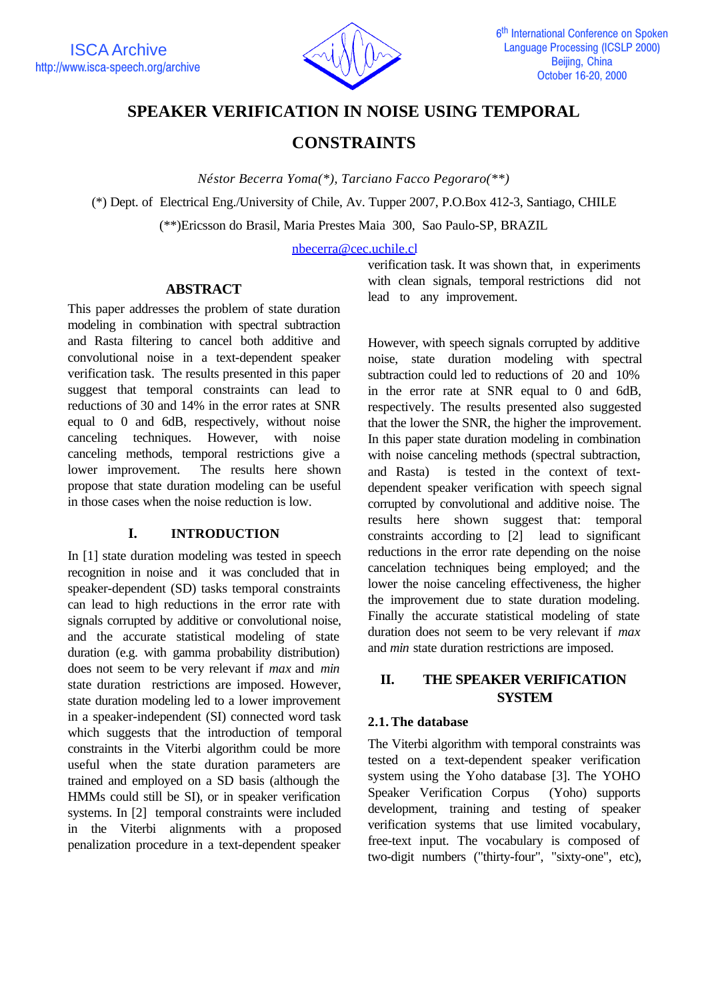

# **SPEAKER VERIFICATION IN NOISE USING TEMPORAL**

# **CONSTRAINTS**

*Néstor Becerra Yoma(\*), Tarciano Facco Pegoraro(\*\*)*

(\*) Dept. of Electrical Eng./University of Chile, Av. Tupper 2007, P.O.Box 412-3, Santiago, CHILE

(\*\*)Ericsson do Brasil, Maria Prestes Maia 300, Sao Paulo-SP, BRAZIL

nbecerra@cec.uchile.cl

## **ABSTRACT**

This paper addresses the problem of state duration modeling in combination with spectral subtraction and Rasta filtering to cancel both additive and convolutional noise in a text-dependent speaker verification task. The results presented in this paper suggest that temporal constraints can lead to reductions of 30 and 14% in the error rates at SNR equal to 0 and 6dB, respectively, without noise canceling techniques. However, with noise canceling methods, temporal restrictions give a lower improvement. The results here shown propose that state duration modeling can be useful in those cases when the noise reduction is low.

### **I. INTRODUCTION**

In [1] state duration modeling was tested in speech recognition in noise and it was concluded that in speaker-dependent (SD) tasks temporal constraints can lead to high reductions in the error rate with signals corrupted by additive or convolutional noise, and the accurate statistical modeling of state duration (e.g. with gamma probability distribution) does not seem to be very relevant if *max* and *min* state duration restrictions are imposed. However, state duration modeling led to a lower improvement in a speaker-independent (SI) connected word task which suggests that the introduction of temporal constraints in the Viterbi algorithm could be more useful when the state duration parameters are trained and employed on a SD basis (although the HMMs could still be SI), or in speaker verification systems. In [2] temporal constraints were included in the Viterbi alignments with a proposed penalization procedure in a text-dependent speaker

verification task. It was shown that, in experiments with clean signals, temporal restrictions did not lead to any improvement.

However, with speech signals corrupted by additive noise, state duration modeling with spectral subtraction could led to reductions of 20 and 10% in the error rate at SNR equal to 0 and 6dB, respectively. The results presented also suggested that the lower the SNR, the higher the improvement. In this paper state duration modeling in combination with noise canceling methods (spectral subtraction, and Rasta) is tested in the context of textdependent speaker verification with speech signal corrupted by convolutional and additive noise. The results here shown suggest that: temporal constraints according to [2] lead to significant reductions in the error rate depending on the noise cancelation techniques being employed; and the lower the noise canceling effectiveness, the higher the improvement due to state duration modeling. Finally the accurate statistical modeling of state duration does not seem to be very relevant if *max* and *min* state duration restrictions are imposed.

# **II. THE SPEAKER VERIFICATION SYSTEM**

### **2.1.The database**

The Viterbi algorithm with temporal constraints was tested on a text-dependent speaker verification system using the Yoho database [3]. The YOHO Speaker Verification Corpus (Yoho) supports development, training and testing of speaker verification systems that use limited vocabulary, free-text input. The vocabulary is composed of two-digit numbers ("thirty-four", "sixty-one", etc),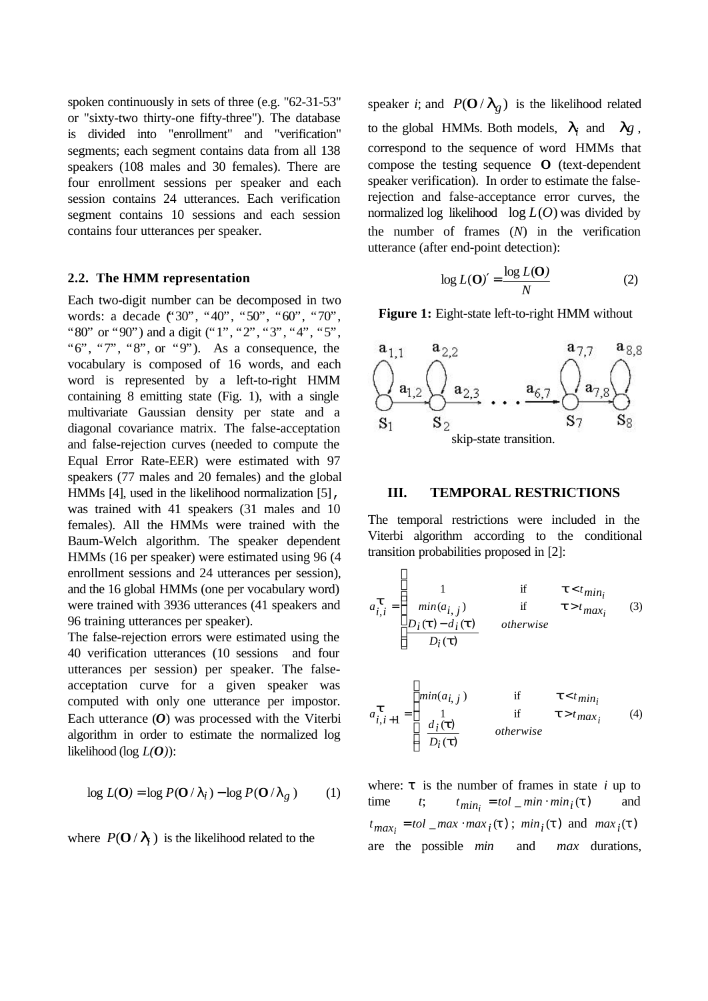spoken continuously in sets of three (e.g. "62-31-53" or "sixty-two thirty-one fifty-three"). The database is divided into "enrollment" and "verification" segments; each segment contains data from all 138 speakers (108 males and 30 females). There are four enrollment sessions per speaker and each session contains 24 utterances. Each verification segment contains 10 sessions and each session contains four utterances per speaker.

#### **2.2. The HMM representation**

Each two-digit number can be decomposed in two words: a decade ("30", "40", "50", "60", "70", "80" or "90") and a digit ("1", "2", "3", "4", "5", " $6$ ", " $7$ ", " $8$ ", or " $9$ "). As a consequence, the vocabulary is composed of 16 words, and each word is represented by a left-to-right HMM containing 8 emitting state (Fig. 1), with a single multivariate Gaussian density per state and a diagonal covariance matrix. The false-acceptation and false-rejection curves (needed to compute the Equal Error Rate-EER) were estimated with 97 speakers (77 males and 20 females) and the global HMMs [4], used in the likelihood normalization [5], was trained with 41 speakers (31 males and 10 females). All the HMMs were trained with the Baum-Welch algorithm. The speaker dependent HMMs (16 per speaker) were estimated using 96 (4 enrollment sessions and 24 utterances per session), and the 16 global HMMs (one per vocabulary word) were trained with 3936 utterances (41 speakers and 96 training utterances per speaker).

The false-rejection errors were estimated using the 40 verification utterances (10 sessions and four utterances per session) per speaker. The falseacceptation curve for a given speaker was computed with only one utterance per impostor. Each utterance (*O*) was processed with the Viterbi algorithm in order to estimate the normalized log likelihood (log  $L(O)$ ):

$$
\log L(\mathbf{O}) = \log P(\mathbf{O}/I_i) - \log P(\mathbf{O}/I_g) \tag{1}
$$

where  $P(\mathbf{O} / \mathbf{I}_i)$  is the likelihood related to the

speaker *i*; and  $P(\mathbf{O}/I_g)$  is the likelihood related to the global HMMs. Both models,  $\boldsymbol{l}_i$  and  $\boldsymbol{l}_g$ , correspond to the sequence of word HMMs that compose the testing sequence **O** (text-dependent speaker verification). In order to estimate the falserejection and false-acceptance error curves, the normalized log likelihood log *L*(*O*) was divided by the number of frames (*N*) in the verification utterance (after end-point detection):

$$
\log L(\mathbf{O})' = \frac{\log L(\mathbf{O})}{N} \tag{2}
$$

**Figure 1:** Eight-state left-to-right HMM without



### **III. TEMPORAL RESTRICTIONS**

The temporal restrictions were included in the Viterbi algorithm according to the conditional transition probabilities proposed in [2]:

 $\sqrt{ }$ 

 $\mathsf{r}$ 

$$
a_{i,i}^{\mathbf{t}} = \begin{cases} 1 & \text{if } \mathbf{t} < t_{\text{min}_i} \\ \min(a_{i,j}) & \text{if } \mathbf{t} > t_{\text{max}_i} \\ \frac{D_i(\mathbf{t}) - d_i(\mathbf{t})}{D_i(\mathbf{t})} & \text{otherwise} \end{cases}
$$
(3)

$$
a_{i,i+1}^{\mathbf{t}} = \begin{cases} \min(a_{i,j}) & \text{if} & \mathbf{t} < t_{\min_i} \\ 1 & \text{if} & \mathbf{t} > t_{\max_i} \\ \frac{d_i(\mathbf{t})}{D_i(\mathbf{t})} & \text{otherwise} \end{cases} \tag{4}
$$

where:  $\tau$  is the number of frames in state *i* up to  $t$ ;  $t_{min_i} = tol_{min} \cdot min_i(t)$  and  $t_{max_i} = tol\_max \cdot max_i(\mathbf{t})$ ;  $min_i(\mathbf{t})$  and  $max_i(\mathbf{t})$ are the possible *min* and *max* durations,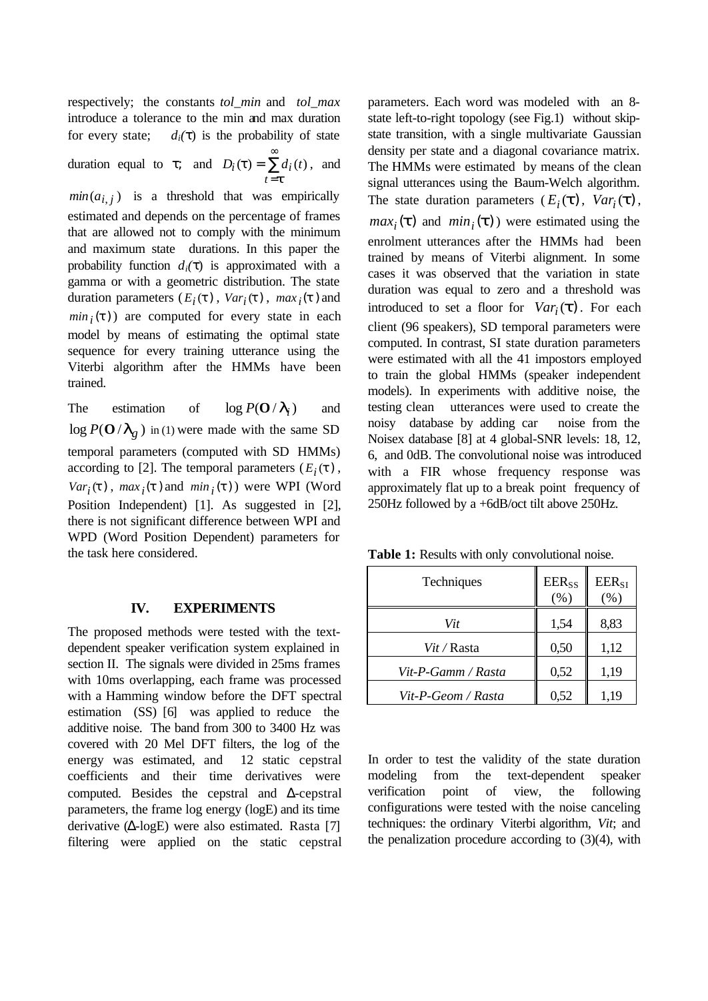respectively; the constants *tol\_min* and *tol\_max* introduce a tolerance to the min and max duration for every state;  $d_i(\tau)$  is the probability of state duration equal to  $\tau$ ; and  $D_i(\mathbf{t}) = \sum$ ∞ = = *t t t*  $D_i$  (*t*) =  $\sum d_i$  (*t*), and  $min(a_{i,j})$  is a threshold that was empirically estimated and depends on the percentage of frames that are allowed not to comply with the minimum and maximum state durations. In this paper the probability function  $d_i(\tau)$  is approximated with a gamma or with a geometric distribution. The state duration parameters  $(E_i(\mathbf{t}), Var_i(\mathbf{t}), max_i(\mathbf{t})$  and  $min_i(t)$ ) are computed for every state in each model by means of estimating the optimal state sequence for every training utterance using the Viterbi algorithm after the HMMs have been trained.

The estimation of  $\log P(O / I_i)$ and  $\log P(O / I_g)$  in (1) were made with the same SD temporal parameters (computed with SD HMMs) according to [2]. The temporal parameters  $(E_i(\mathbf{t}),$  $Var_i(\mathbf{t})$ ,  $max_i(\mathbf{t})$  and  $min_i(\mathbf{t})$ ) were WPI (Word Position Independent) [1]. As suggested in [2], there is not significant difference between WPI and WPD (Word Position Dependent) parameters for the task here considered.

### **IV. EXPERIMENTS**

The proposed methods were tested with the textdependent speaker verification system explained in section II. The signals were divided in 25ms frames with 10ms overlapping, each frame was processed with a Hamming window before the DFT spectral estimation (SS) [6] was applied to reduce the additive noise. The band from 300 to 3400 Hz was covered with 20 Mel DFT filters, the log of the energy was estimated, and 12 static cepstral coefficients and their time derivatives were computed. Besides the cepstral and Δ-cepstral parameters, the frame log energy (logE) and its time derivative (Δ-logE) were also estimated. Rasta [7] filtering were applied on the static cepstral parameters. Each word was modeled with an 8 state left-to-right topology (see Fig.1) without skipstate transition, with a single multivariate Gaussian density per state and a diagonal covariance matrix. The HMMs were estimated by means of the clean signal utterances using the Baum-Welch algorithm. The state duration parameters ( $E_i(\mathbf{t})$ ,  $Var_i(\mathbf{t})$ ,  $max_i(\mathbf{t})$  and  $min_i(\mathbf{t})$  were estimated using the enrolment utterances after the HMMs had been trained by means of Viterbi alignment. In some cases it was observed that the variation in state duration was equal to zero and a threshold was introduced to set a floor for  $Var_i(\mathbf{t})$ . For each client (96 speakers), SD temporal parameters were computed. In contrast, SI state duration parameters were estimated with all the 41 impostors employed to train the global HMMs (speaker independent models). In experiments with additive noise, the testing clean utterances were used to create the noisy database by adding car noise from the Noisex database [8] at 4 global-SNR levels: 18, 12, 6, and 0dB. The convolutional noise was introduced with a FIR whose frequency response was approximately flat up to a break point frequency of 250Hz followed by a +6dB/oct tilt above 250Hz.

**Table 1:** Results with only convolutional noise.

| Techniques         | $EER_{SS}$<br>(%) | $EER_{SI}$<br>$(\%)$ |
|--------------------|-------------------|----------------------|
| Vit                | 1,54              | 8,83                 |
| <i>Vit / Rasta</i> | 0,50              | 1,12                 |
| Vit-P-Gamm / Rasta | 0,52              | 1,19                 |
| Vit-P-Geom / Rasta | 0,52              | 1,19                 |

In order to test the validity of the state duration modeling from the text-dependent speaker verification point of view, the following configurations were tested with the noise canceling techniques: the ordinary Viterbi algorithm, *Vit*; and the penalization procedure according to (3)(4), with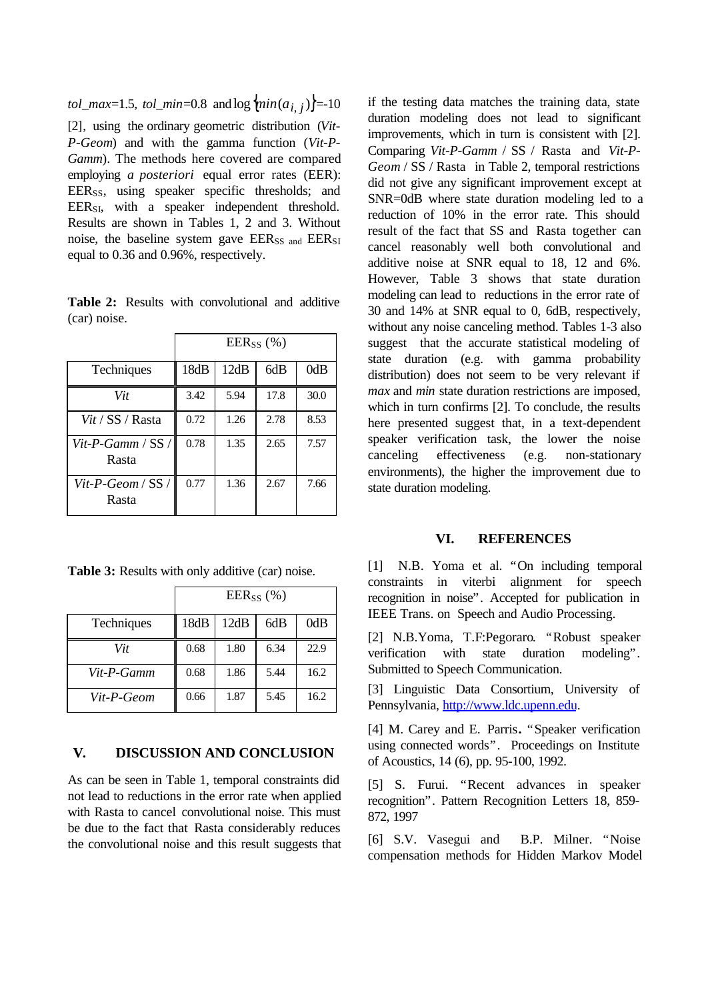*tol\_max*=1.5, *tol\_min*=0.8 and log { $\{min(a_{i,j})\}$ =-10 [2], using the ordinary geometric distribution (*Vit-P-Geom*) and with the gamma function (*Vit-P-Gamm*). The methods here covered are compared employing *a posteriori* equal error rates (EER): EER<sub>SS</sub>, using speaker specific thresholds; and EER<sub>SI</sub>, with a speaker independent threshold. Results are shown in Tables 1, 2 and 3. Without noise, the baseline system gave  $EER_{SS}$  and  $EER_{SI}$ equal to 0.36 and 0.96%, respectively.

**Table 2:** Results with convolutional and additive (car) noise.

|                              | $EER_{SS}$ (%) |      |      |      |
|------------------------------|----------------|------|------|------|
| Techniques                   | 18dB           | 12dB | 6dB  | 0dB  |
| Vit                          | 3.42           | 5.94 | 17.8 | 30.0 |
| Vit / SS / Rasta             | 0.72           | 1.26 | 2.78 | 8.53 |
| $Vit-P-Gamm / SS /$<br>Rasta | 0.78           | 1.35 | 2.65 | 7.57 |
| Vit-P-Geom / $SS/$<br>Rasta  | 0.77           | 1.36 | 2.67 | 7.66 |

**Table 3:** Results with only additive (car) noise.

|            | $EER_{SS}$ (%) |      |      |      |
|------------|----------------|------|------|------|
| Techniques | 18dB           | 12dB | 6dB  | 0dB  |
| Vit        | 0.68           | 1.80 | 6.34 | 22.9 |
| Vit-P-Gamm | 0.68           | 1.86 | 5.44 | 16.2 |
| Vit-P-Geom | 0.66           | 1.87 | 5.45 | 16.2 |

## **V. DISCUSSION AND CONCLUSION**

As can be seen in Table 1, temporal constraints did not lead to reductions in the error rate when applied with Rasta to cancel convolutional noise. This must be due to the fact that Rasta considerably reduces the convolutional noise and this result suggests that if the testing data matches the training data, state duration modeling does not lead to significant improvements, which in turn is consistent with [2]. Comparing *Vit-P-Gamm* / SS / Rasta and *Vit-P-Geom* / SS / Rasta in Table 2, temporal restrictions did not give any significant improvement except at SNR=0dB where state duration modeling led to a reduction of 10% in the error rate. This should result of the fact that SS and Rasta together can cancel reasonably well both convolutional and additive noise at SNR equal to 18, 12 and 6%. However, Table 3 shows that state duration modeling can lead to reductions in the error rate of 30 and 14% at SNR equal to 0, 6dB, respectively, without any noise canceling method. Tables 1-3 also suggest that the accurate statistical modeling of state duration (e.g. with gamma probability distribution) does not seem to be very relevant if *max* and *min* state duration restrictions are imposed, which in turn confirms [2]. To conclude, the results here presented suggest that, in a text-dependent speaker verification task, the lower the noise canceling effectiveness (e.g. non-stationary environments), the higher the improvement due to state duration modeling.

### **VI. REFERENCES**

[1] N.B. Yoma et al. "On including temporal constraints in viterbi alignment for speech recognition in noise". Accepted for publication in IEEE Trans. on Speech and Audio Processing.

[2] N.B.Yoma, T.F:Pegoraro. "Robust speaker verification with state duration modeling". Submitted to Speech Communication.

[3] Linguistic Data Consortium, University of Pennsylvania, http://www.ldc.upenn.edu.

[4] M. Carey and E. Parris**.** "Speaker verification using connected words". Proceedings on Institute of Acoustics, 14 (6), pp. 95-100, 1992.

[5] S. Furui. "Recent advances in speaker recognition". Pattern Recognition Letters 18, 859- 872, 1997

[6] S.V. Vasegui and B.P. Milner. "Noise compensation methods for Hidden Markov Model